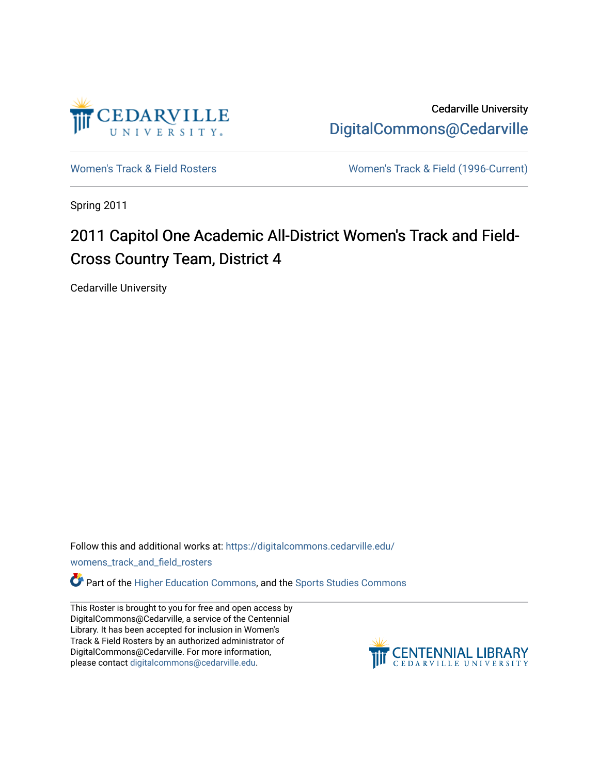

Cedarville University [DigitalCommons@Cedarville](https://digitalcommons.cedarville.edu/) 

[Women's Track & Field Rosters](https://digitalcommons.cedarville.edu/womens_track_and_field_rosters) [Women's Track & Field \(1996-Current\)](https://digitalcommons.cedarville.edu/womens_track_and_field) 

Spring 2011

## 2011 Capitol One Academic All-District Women's Track and Field-Cross Country Team, District 4

Cedarville University

Follow this and additional works at: [https://digitalcommons.cedarville.edu/](https://digitalcommons.cedarville.edu/womens_track_and_field_rosters?utm_source=digitalcommons.cedarville.edu%2Fwomens_track_and_field_rosters%2F55&utm_medium=PDF&utm_campaign=PDFCoverPages)

[womens\\_track\\_and\\_field\\_rosters](https://digitalcommons.cedarville.edu/womens_track_and_field_rosters?utm_source=digitalcommons.cedarville.edu%2Fwomens_track_and_field_rosters%2F55&utm_medium=PDF&utm_campaign=PDFCoverPages) 

**C** Part of the [Higher Education Commons,](http://network.bepress.com/hgg/discipline/1245?utm_source=digitalcommons.cedarville.edu%2Fwomens_track_and_field_rosters%2F55&utm_medium=PDF&utm_campaign=PDFCoverPages) and the Sports Studies Commons

This Roster is brought to you for free and open access by DigitalCommons@Cedarville, a service of the Centennial Library. It has been accepted for inclusion in Women's Track & Field Rosters by an authorized administrator of DigitalCommons@Cedarville. For more information, please contact [digitalcommons@cedarville.edu](mailto:digitalcommons@cedarville.edu).